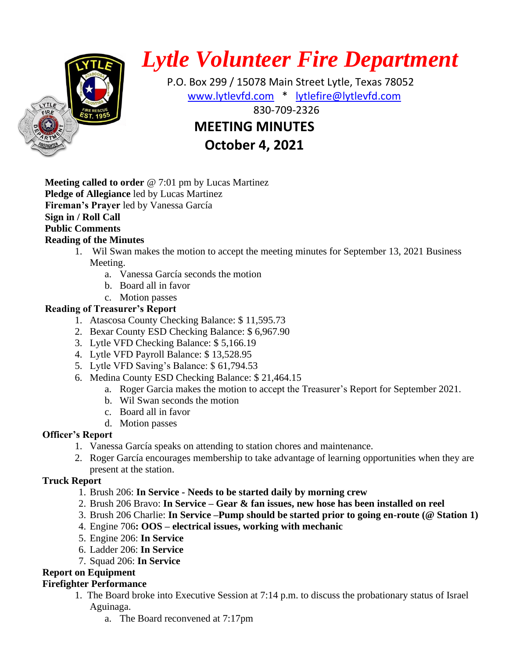

# *Lytle Volunteer Fire Department*

 P.O. Box 299 / 15078 Main Street Lytle, Texas 78052 [www.lytlevfd.com](http://www.lytlevfd.com/) \* [lytlefire@lytlevfd.com](mailto:lytlefire@lytlevfd.com) **EVALUE AND FIRE RESCUE 1999-2326 MEETING MINUTES**

**October 4, 2021**

**Meeting called to order** @ 7:01 pm by Lucas Martinez **Pledge of Allegiance** led by Lucas Martinez **Fireman's Prayer** led by Vanessa García **Sign in / Roll Call Public Comments**

# **Reading of the Minutes**

- 1. Wil Swan makes the motion to accept the meeting minutes for September 13, 2021 Business Meeting.
	- a. Vanessa García seconds the motion
	- b. Board all in favor
	- c. Motion passes

# **Reading of Treasurer's Report**

- 1. Atascosa County Checking Balance: \$ 11,595.73
- 2. Bexar County ESD Checking Balance: \$ 6,967.90
- 3. Lytle VFD Checking Balance: \$ 5,166.19
- 4. Lytle VFD Payroll Balance: \$ 13,528.95
- 5. Lytle VFD Saving's Balance: \$ 61,794.53
- 6. Medina County ESD Checking Balance: \$ 21,464.15
	- a. Roger Garcia makes the motion to accept the Treasurer's Report for September 2021.
	- b. Wil Swan seconds the motion
	- c. Board all in favor
	- d. Motion passes

# **Officer's Report**

- 1. Vanessa García speaks on attending to station chores and maintenance.
- 2. Roger García encourages membership to take advantage of learning opportunities when they are present at the station.

## **Truck Report**

- 1. Brush 206: **In Service - Needs to be started daily by morning crew**
- 2. Brush 206 Bravo: **In Service – Gear & fan issues, new hose has been installed on reel**
- 3. Brush 206 Charlie: **In Service –Pump should be started prior to going en-route (@ Station 1)**
- 4. Engine 706**: OOS – electrical issues, working with mechanic**
- 5. Engine 206: **In Service**
- 6. Ladder 206: **In Service**
- 7. Squad 206: **In Service**

# **Report on Equipment**

# **Firefighter Performance**

- 1. The Board broke into Executive Session at 7:14 p.m. to discuss the probationary status of Israel Aguinaga.
	- a. The Board reconvened at 7:17pm